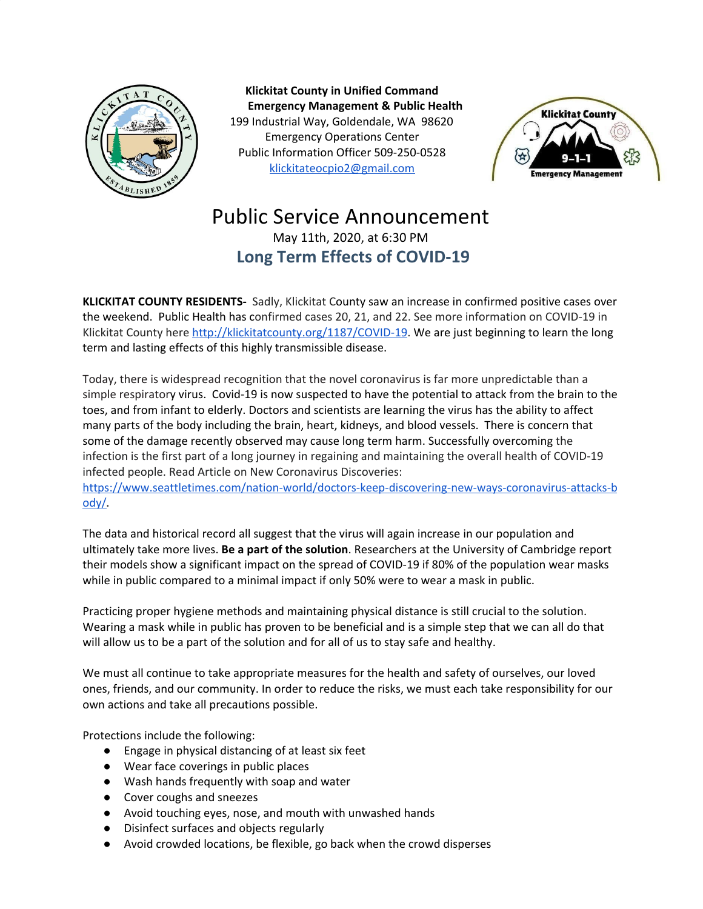

**Klickitat County in Unified Command Emergency Management & Public Health** 199 Industrial Way, Goldendale, WA 98620 Emergency Operations Center Public Information Officer 509-250-0528 [klickitateocpio2@gmail.com](mailto:klickitateocpio@gmail.com)



## Public Service Announcement May 11th, 2020, at 6:30 PM **Long Term Effects of COVID-19**

**KLICKITAT COUNTY RESIDENTS-** Sadly, Klickitat County saw an increase in confirmed positive cases over the weekend. Public Health has confirmed cases 20, 21, and 22. See more information on COVID-19 in Klickitat County here <http://klickitatcounty.org/1187/COVID-19>. We are just beginning to learn the long term and lasting effects of this highly transmissible disease.

Today, there is widespread recognition that the novel coronavirus is far more unpredictable than a simple respiratory virus. Covid-19 is now suspected to have the potential to attack from the brain to the toes, and from infant to elderly. Doctors and scientists are learning the virus has the ability to affect many parts of the body including the brain, heart, kidneys, and blood vessels. There is concern that some of the damage recently observed may cause long term harm. Successfully overcoming the infection is the first part of a long journey in regaining and maintaining the overall health of COVID-19 infected people. Read Article on New Coronavirus Discoveries:

[https://www.seattletimes.com/nation-world/doctors-keep-discovering-new-ways-coronavirus-attacks-b](https://www.seattletimes.com/nation-world/doctors-keep-discovering-new-ways-coronavirus-attacks-body/) [ody/](https://www.seattletimes.com/nation-world/doctors-keep-discovering-new-ways-coronavirus-attacks-body/)**.**

The data and historical record all suggest that the virus will again increase in our population and ultimately take more lives. **Be a part of the solution**. Researchers at the University of Cambridge report their models show a significant impact on the spread of COVID-19 if 80% of the population wear masks while in public compared to a minimal impact if only 50% were to wear a mask in public.

Practicing proper hygiene methods and maintaining physical distance is still crucial to the solution. Wearing a mask while in public has proven to be beneficial and is a simple step that we can all do that will allow us to be a part of the solution and for all of us to stay safe and healthy.

We must all continue to take appropriate measures for the health and safety of ourselves, our loved ones, friends, and our community. In order to reduce the risks, we must each take responsibility for our own actions and take all precautions possible.

Protections include the following:

- Engage in physical distancing of at least six feet
- Wear face coverings in public places
- Wash hands frequently with soap and water
- Cover coughs and sneezes
- Avoid touching eyes, nose, and mouth with unwashed hands
- Disinfect surfaces and objects regularly
- Avoid crowded locations, be flexible, go back when the crowd disperses